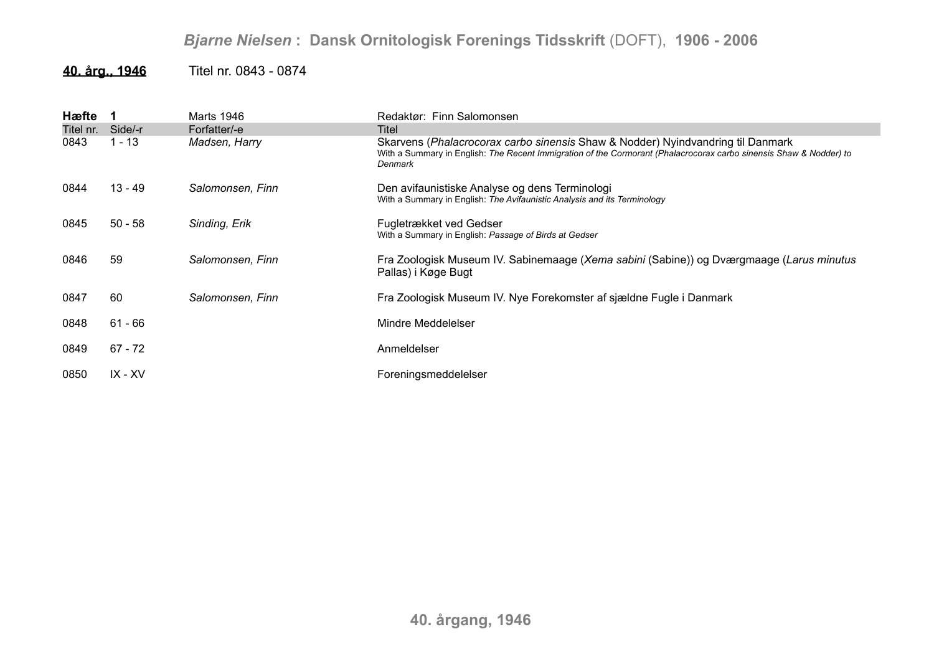## *Bjarne Nielsen* **: Dansk Ornitologisk Forenings Tidsskrift** (DOFT), **1906 - 2006**

## **40. årg., 1946** Titel nr. 0843 - 0874

| Hæfte     |           | Marts 1946       | Redaktør: Finn Salomonsen                                                                                                                                                                                        |
|-----------|-----------|------------------|------------------------------------------------------------------------------------------------------------------------------------------------------------------------------------------------------------------|
| Titel nr. | Side/-r   | Forfatter/-e     | Titel                                                                                                                                                                                                            |
| 0843      | $1 - 13$  | Madsen, Harry    | Skarvens (Phalacrocorax carbo sinensis Shaw & Nodder) Nyindvandring til Danmark<br>With a Summary in English: The Recent Immigration of the Cormorant (Phalacrocorax carbo sinensis Shaw & Nodder) to<br>Denmark |
| 0844      | $13 - 49$ | Salomonsen, Finn | Den avifaunistiske Analyse og dens Terminologi<br>With a Summary in English: The Avifaunistic Analysis and its Terminology                                                                                       |
| 0845      | $50 - 58$ | Sinding, Erik    | Fugletrækket ved Gedser<br>With a Summary in English: Passage of Birds at Gedser                                                                                                                                 |
| 0846      | 59        | Salomonsen, Finn | Fra Zoologisk Museum IV. Sabinemaage (Xema sabini (Sabine)) og Dværgmaage (Larus minutus<br>Pallas) i Køge Bugt                                                                                                  |
| 0847      | 60        | Salomonsen, Finn | Fra Zoologisk Museum IV. Nye Forekomster af sjældne Fugle i Danmark                                                                                                                                              |
| 0848      | 61 - 66   |                  | Mindre Meddelelser                                                                                                                                                                                               |
| 0849      | $67 - 72$ |                  | Anmeldelser                                                                                                                                                                                                      |
| 0850      | IX - XV   |                  | Foreningsmeddelelser                                                                                                                                                                                             |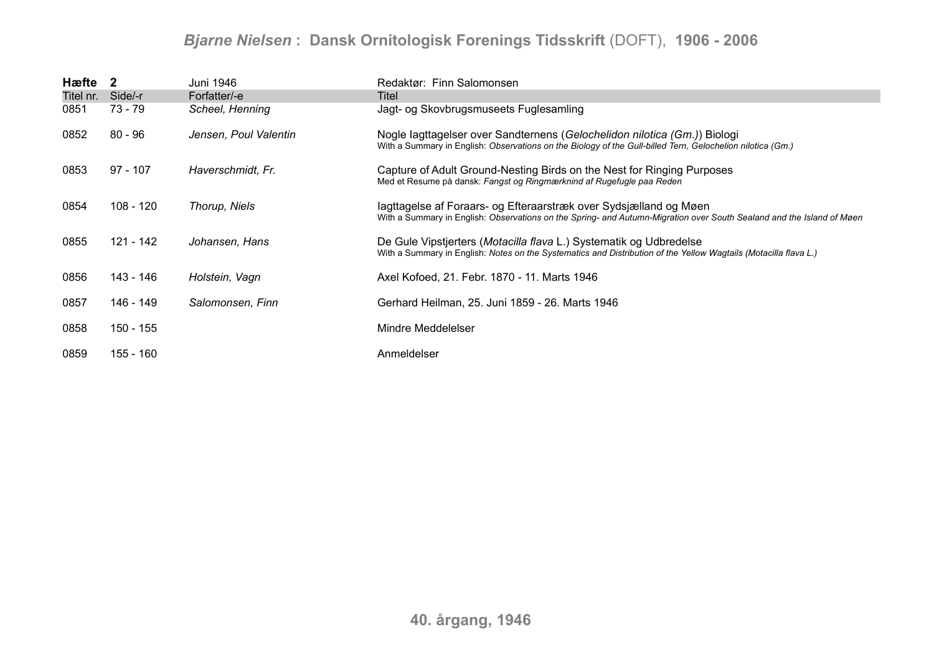## *Bjarne Nielsen* **: Dansk Ornitologisk Forenings Tidsskrift** (DOFT), **1906 - 2006**

| Hæfte 2   |            | Juni 1946             | Redaktør: Finn Salomonsen                                                                                                                                                                  |
|-----------|------------|-----------------------|--------------------------------------------------------------------------------------------------------------------------------------------------------------------------------------------|
| Titel nr. | Side/-r    | Forfatter/-e          | Titel                                                                                                                                                                                      |
| 0851      | 73 - 79    | Scheel, Henning       | Jagt- og Skovbrugsmuseets Fuglesamling                                                                                                                                                     |
| 0852      | $80 - 96$  | Jensen, Poul Valentin | Nogle lagttagelser over Sandternens (Gelochelidon nilotica (Gm.)) Biologi<br>With a Summary in English: Observations on the Biology of the Gull-billed Tern, Gelochelion nilotica (Gm.)    |
| 0853      | $97 - 107$ | Haverschmidt, Fr.     | Capture of Adult Ground-Nesting Birds on the Nest for Ringing Purposes<br>Med et Resume på dansk: Fangst og Ringmærknind af Rugefugle paa Reden                                            |
| 0854      | 108 - 120  | Thorup, Niels         | lagttagelse af Foraars- og Efteraarstræk over Sydsjælland og Møen<br>With a Summary in English: Observations on the Spring- and Autumn-Migration over South Sealand and the Island of Møen |
| 0855      | 121 - 142  | Johansen, Hans        | De Gule Vipstjerters (Motacilla flava L.) Systematik og Udbredelse<br>With a Summary in English: Notes on the Systematics and Distribution of the Yellow Wagtails (Motacilla flava L.)     |
| 0856      | 143 - 146  | Holstein, Vagn        | Axel Kofoed, 21. Febr. 1870 - 11. Marts 1946                                                                                                                                               |
| 0857      | 146 - 149  | Salomonsen, Finn      | Gerhard Heilman, 25. Juni 1859 - 26. Marts 1946                                                                                                                                            |
| 0858      | 150 - 155  |                       | Mindre Meddelelser                                                                                                                                                                         |
| 0859      | 155 - 160  |                       | Anmeldelser                                                                                                                                                                                |